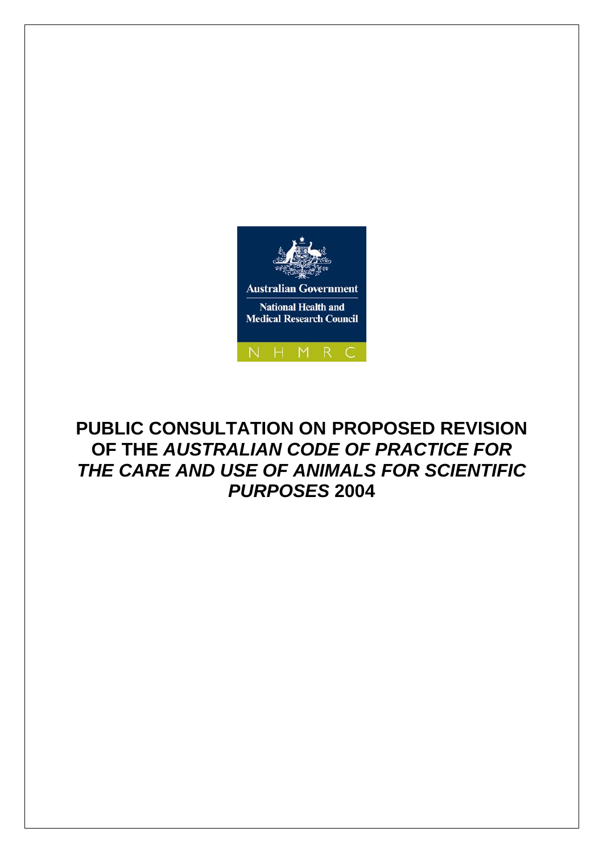

# **PUBLIC CONSULTATION ON PROPOSED REVISION OF THE** *AUSTRALIAN CODE OF PRACTICE FOR THE CARE AND USE OF ANIMALS FOR SCIENTIFIC PURPOSES* **2004**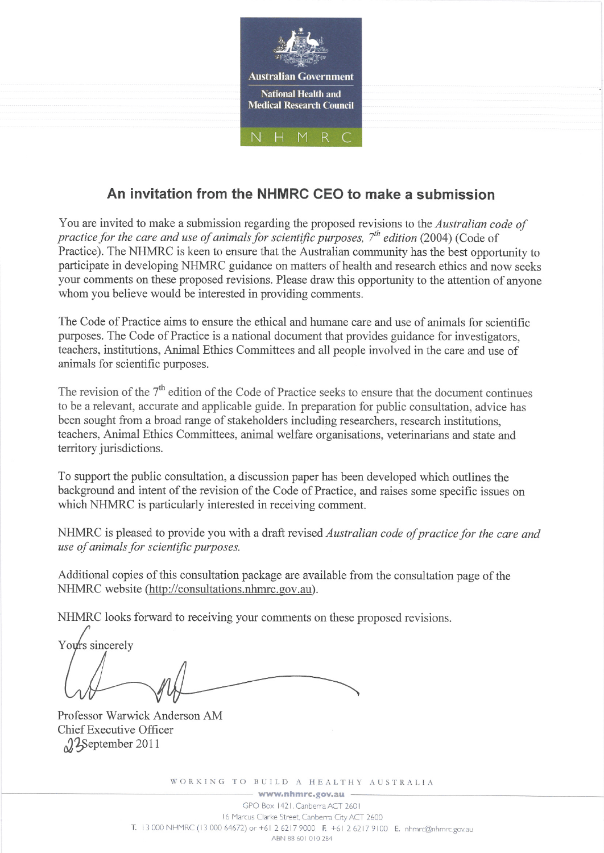

# An invitation from the NHMRC CEO to make a submission

You are invited to make a submission regarding the proposed revisions to the Australian code of practice for the care and use of animals for scientific purposes,  $7<sup>th</sup>$  edition (2004) (Code of Practice). The NHMRC is keen to ensure that the Australian community has the best opportunity to participate in developing NHMRC guidance on matters of health and research ethics and now seeks your comments on these proposed revisions. Please draw this opportunity to the attention of anyone whom you believe would be interested in providing comments.

The Code of Practice aims to ensure the ethical and humane care and use of animals for scientific purposes. The Code of Practice is a national document that provides guidance for investigators. teachers, institutions, Animal Ethics Committees and all people involved in the care and use of animals for scientific purposes.

The revision of the  $7<sup>th</sup>$  edition of the Code of Practice seeks to ensure that the document continues to be a relevant, accurate and applicable guide. In preparation for public consultation, advice has been sought from a broad range of stakeholders including researchers, research institutions, teachers, Animal Ethics Committees, animal welfare organisations, veterinarians and state and territory jurisdictions.

To support the public consultation, a discussion paper has been developed which outlines the background and intent of the revision of the Code of Practice, and raises some specific issues on which NHMRC is particularly interested in receiving comment.

NHMRC is pleased to provide you with a draft revised Australian code of practice for the care and use of animals for scientific purposes.

Additional copies of this consultation package are available from the consultation page of the NHMRC website (http://consultations.nhmrc.gov.au).

NHMRC looks forward to receiving your comments on these proposed revisions.

Yours sincerely

Professor Warwick Anderson AM Chief Executive Officer  $2$ September 2011

WORKING TO BUILD A HEALTHY AUSTRALIA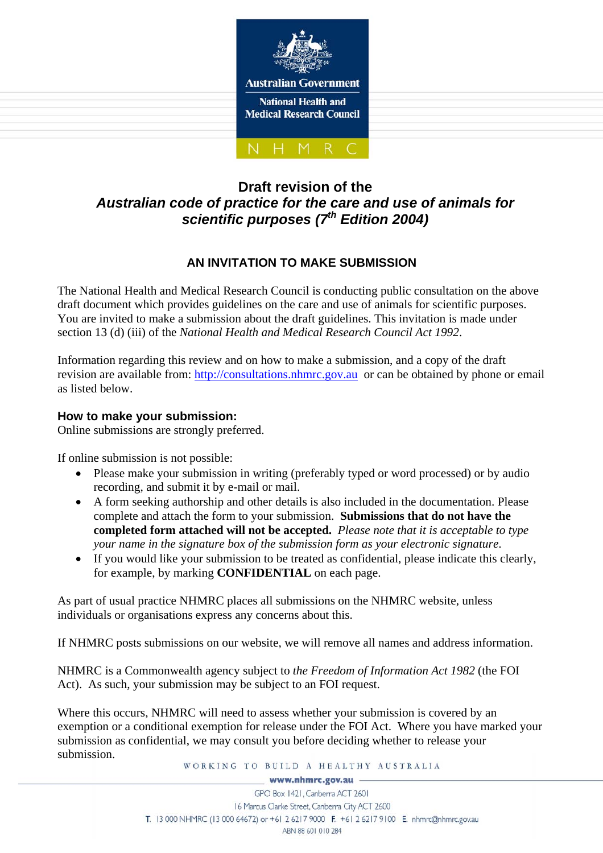

# **Draft revision of the**  *Australian code of practice for the care and use of animals for scientific purposes (7th Edition 2004)*

# **AN INVITATION TO MAKE SUBMISSION**

The National Health and Medical Research Council is conducting public consultation on the above draft document which provides guidelines on the care and use of animals for scientific purposes. You are invited to make a submission about the draft guidelines. This invitation is made under section 13 (d) (iii) of the *National Health and Medical Research Council Act 1992*.

Information regarding this review and on how to make a submission, and a copy of the draft revision are available from: http://consultations.nhmrc.gov.au or can be obtained by phone or email as listed below.

# **How to make your submission:**

Online submissions are strongly preferred.

If online submission is not possible:

- Please make your submission in writing (preferably typed or word processed) or by audio recording, and submit it by e-mail or mail.
- A form seeking authorship and other details is also included in the documentation. Please complete and attach the form to your submission. **Submissions that do not have the completed form attached will not be accepted.** *Please note that it is acceptable to type your name in the signature box of the submission form as your electronic signature*.
- If you would like your submission to be treated as confidential, please indicate this clearly, for example, by marking **CONFIDENTIAL** on each page.

As part of usual practice NHMRC places all submissions on the NHMRC website, unless individuals or organisations express any concerns about this.

If NHMRC posts submissions on our website, we will remove all names and address information.

NHMRC is a Commonwealth agency subject to *the Freedom of Information Act 1982* (the FOI Act). As such, your submission may be subject to an FOI request.

Where this occurs, NHMRC will need to assess whether your submission is covered by an exemption or a conditional exemption for release under the FOI Act. Where you have marked your submission as confidential, we may consult you before deciding whether to release your submission.

WORKING TO BUILD A HEALTHY AUSTRALIA

www.nhmrc.gov.au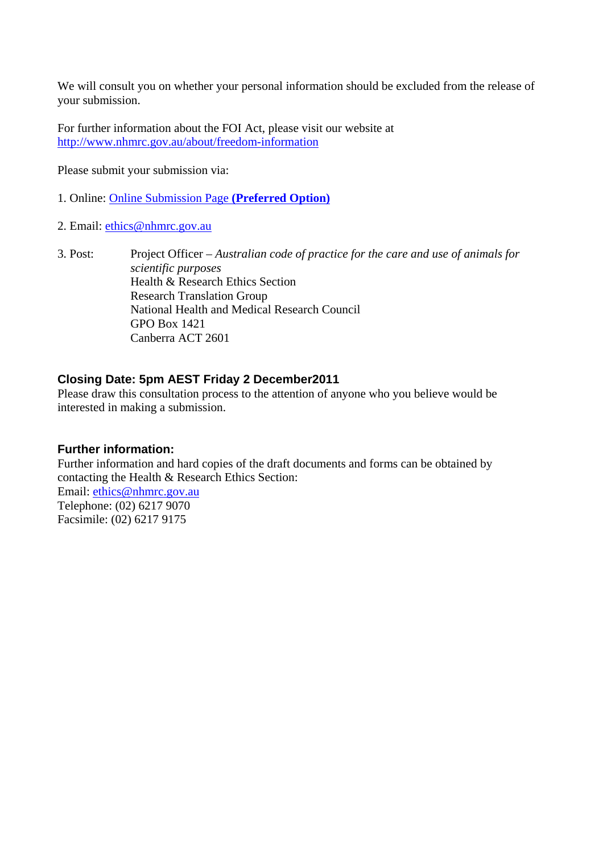We will consult you on whether your personal information should be excluded from the release of your submission.

For further information about the FOI Act, please visit our website at http://www.nhmrc.gov.au/about/freedom-information

Please submit your submission via:

- 1. Online: Online Submission Page **(Preferred Option)**
- 2. Email: ethics@nhmrc.gov.au
- 3. Post: Project Officer *Australian code of practice for the care and use of animals for scientific purposes*  Health & Research Ethics Section Research Translation Group National Health and Medical Research Council GPO Box 1421 Canberra ACT 2601

#### **Closing Date: 5pm AEST Friday 2 December2011**

Please draw this consultation process to the attention of anyone who you believe would be interested in making a submission.

#### **Further information:**

Further information and hard copies of the draft documents and forms can be obtained by contacting the Health & Research Ethics Section: Email: ethics@nhmrc.gov.au Telephone: (02) 6217 9070 Facsimile: (02) 6217 9175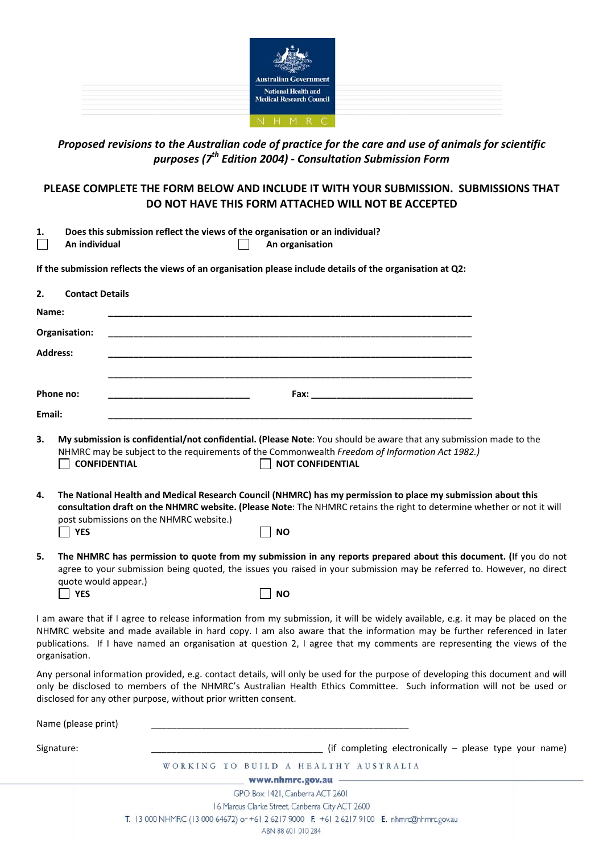

# *Proposed revisions to the Australian code of practice for the care and use of animals for scientific purposes (7th Edition 2004) ‐ Consultation Submission Form*

# **PLEASE COMPLETE THE FORM BELOW AND INCLUDE IT WITH YOUR SUBMISSION. SUBMISSIONS THAT DO NOT HAVE THIS FORM ATTACHED WILL NOT BE ACCEPTED**

| Does this submission reflect the views of the organisation or an individual? |
|------------------------------------------------------------------------------|
|------------------------------------------------------------------------------|

П

**An individual An organisation**

**If the submission reflects the views of an organisation please include details of the organisation at Q2:**

| 2.     | <b>Contact Details</b>      |                                                                                                                                                                                                                                                                                                                                                                                      |  |
|--------|-----------------------------|--------------------------------------------------------------------------------------------------------------------------------------------------------------------------------------------------------------------------------------------------------------------------------------------------------------------------------------------------------------------------------------|--|
| Name:  |                             |                                                                                                                                                                                                                                                                                                                                                                                      |  |
|        | Organisation:               |                                                                                                                                                                                                                                                                                                                                                                                      |  |
|        | <b>Address:</b>             |                                                                                                                                                                                                                                                                                                                                                                                      |  |
|        | Phone no:                   |                                                                                                                                                                                                                                                                                                                                                                                      |  |
| Email: |                             |                                                                                                                                                                                                                                                                                                                                                                                      |  |
| 3.     | <b>CONFIDENTIAL</b>         | My submission is confidential/not confidential. (Please Note: You should be aware that any submission made to the<br>NHMRC may be subject to the requirements of the Commonwealth Freedom of Information Act 1982.)<br><b>NOT CONFIDENTIAL</b>                                                                                                                                       |  |
| 4.     | <b>YES</b>                  | The National Health and Medical Research Council (NHMRC) has my permission to place my submission about this<br>consultation draft on the NHMRC website. (Please Note: The NHMRC retains the right to determine whether or not it will<br>post submissions on the NHMRC website.)<br><b>NO</b>                                                                                       |  |
| 5.     | quote would appear.)<br>YES | The NHMRC has permission to quote from my submission in any reports prepared about this document. (If you do not<br>agree to your submission being quoted, the issues you raised in your submission may be referred to. However, no direct<br><b>NO</b>                                                                                                                              |  |
|        | organisation.               | I am aware that if I agree to release information from my submission, it will be widely available, e.g. it may be placed on the<br>NHMRC website and made available in hard copy. I am also aware that the information may be further referenced in later<br>publications. If I have named an organisation at question 2, I agree that my comments are representing the views of the |  |
|        |                             | Any personal information provided, e.g. contact details, will only be used for the purpose of developing this document and will<br>only be disclosed to members of the NHMRC's Australian Health Ethics Committee. Such information will not be used or<br>disclosed for any other purpose, without prior written consent.                                                           |  |
|        | Name (please print)         |                                                                                                                                                                                                                                                                                                                                                                                      |  |
|        | Signature:                  | (if completing electronically - please type your name)                                                                                                                                                                                                                                                                                                                               |  |
|        |                             | WORKING TO BUILD A HEALTHY AUSTRALIA                                                                                                                                                                                                                                                                                                                                                 |  |
|        |                             | www.nhmrc.gov.au -                                                                                                                                                                                                                                                                                                                                                                   |  |
|        |                             | $CDQD = I42LQ = I$                                                                                                                                                                                                                                                                                                                                                                   |  |

GPO Box 1421, Canberra ACT 2601 16 Marcus Clarke Street, Canberra City ACT 2600 T. 13 000 NHMRC (13 000 64672) or +61 2 6217 9000 F. +61 2 6217 9100 E. nhmrc@nhmrc.gov.au

ABN 88 601 010 284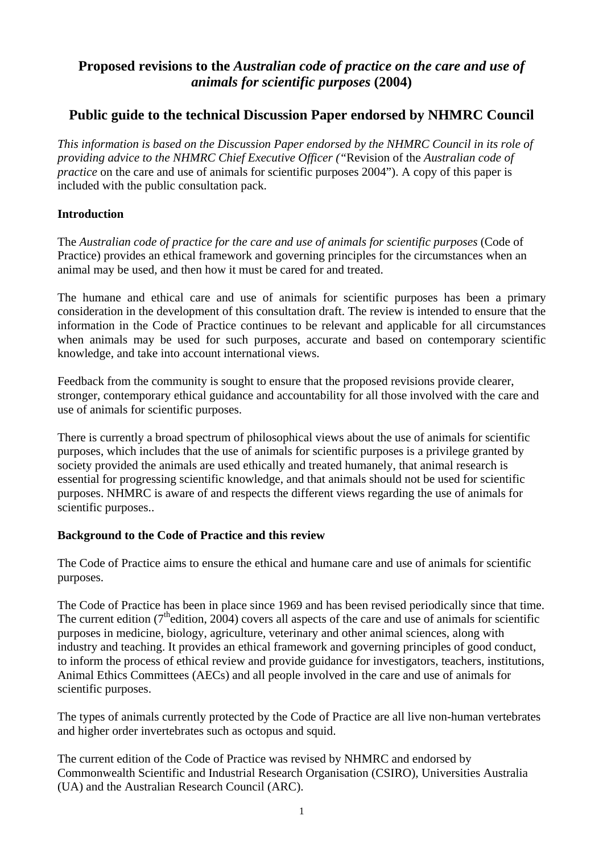# **Proposed revisions to the** *Australian code of practice on the care and use of animals for scientific purposes* **(2004)**

# **Public guide to the technical Discussion Paper endorsed by NHMRC Council**

*This information is based on the Discussion Paper endorsed by the NHMRC Council in its role of providing advice to the NHMRC Chief Executive Officer ("*Revision of the *Australian code of practice* on the care and use of animals for scientific purposes 2004"). A copy of this paper is included with the public consultation pack.

# **Introduction**

The *Australian code of practice for the care and use of animals for scientific purposes* (Code of Practice) provides an ethical framework and governing principles for the circumstances when an animal may be used, and then how it must be cared for and treated.

The humane and ethical care and use of animals for scientific purposes has been a primary consideration in the development of this consultation draft. The review is intended to ensure that the information in the Code of Practice continues to be relevant and applicable for all circumstances when animals may be used for such purposes, accurate and based on contemporary scientific knowledge, and take into account international views.

Feedback from the community is sought to ensure that the proposed revisions provide clearer, stronger, contemporary ethical guidance and accountability for all those involved with the care and use of animals for scientific purposes.

There is currently a broad spectrum of philosophical views about the use of animals for scientific purposes, which includes that the use of animals for scientific purposes is a privilege granted by society provided the animals are used ethically and treated humanely, that animal research is essential for progressing scientific knowledge, and that animals should not be used for scientific purposes. NHMRC is aware of and respects the different views regarding the use of animals for scientific purposes..

# **Background to the Code of Practice and this review**

The Code of Practice aims to ensure the ethical and humane care and use of animals for scientific purposes.

The Code of Practice has been in place since 1969 and has been revised periodically since that time. The current edition  $(7<sup>th</sup>$ edition, 2004) covers all aspects of the care and use of animals for scientific purposes in medicine, biology, agriculture, veterinary and other animal sciences, along with industry and teaching. It provides an ethical framework and governing principles of good conduct, to inform the process of ethical review and provide guidance for investigators, teachers, institutions, Animal Ethics Committees (AECs) and all people involved in the care and use of animals for scientific purposes.

The types of animals currently protected by the Code of Practice are all live non-human vertebrates and higher order invertebrates such as octopus and squid.

The current edition of the Code of Practice was revised by NHMRC and endorsed by Commonwealth Scientific and Industrial Research Organisation (CSIRO), Universities Australia (UA) and the Australian Research Council (ARC).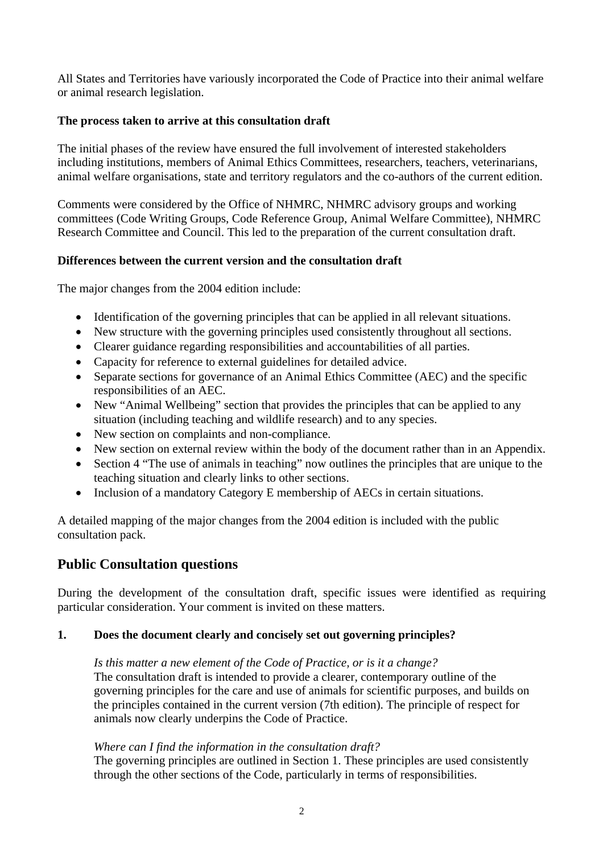All States and Territories have variously incorporated the Code of Practice into their animal welfare or animal research legislation.

# **The process taken to arrive at this consultation draft**

The initial phases of the review have ensured the full involvement of interested stakeholders including institutions, members of Animal Ethics Committees, researchers, teachers, veterinarians, animal welfare organisations, state and territory regulators and the co-authors of the current edition.

Comments were considered by the Office of NHMRC, NHMRC advisory groups and working committees (Code Writing Groups, Code Reference Group, Animal Welfare Committee), NHMRC Research Committee and Council. This led to the preparation of the current consultation draft.

# **Differences between the current version and the consultation draft**

The major changes from the 2004 edition include:

- Identification of the governing principles that can be applied in all relevant situations.
- New structure with the governing principles used consistently throughout all sections.
- Clearer guidance regarding responsibilities and accountabilities of all parties.
- Capacity for reference to external guidelines for detailed advice.
- Separate sections for governance of an Animal Ethics Committee (AEC) and the specific responsibilities of an AEC.
- New "Animal Wellbeing" section that provides the principles that can be applied to any situation (including teaching and wildlife research) and to any species.
- New section on complaints and non-compliance*.*
- New section on external review within the body of the document rather than in an Appendix.
- Section 4 "The use of animals in teaching" now outlines the principles that are unique to the teaching situation and clearly links to other sections.
- Inclusion of a mandatory Category E membership of AECs in certain situations.

A detailed mapping of the major changes from the 2004 edition is included with the public consultation pack.

# **Public Consultation questions**

During the development of the consultation draft, specific issues were identified as requiring particular consideration. Your comment is invited on these matters.

#### **1. Does the document clearly and concisely set out governing principles?**

*Is this matter a new element of the Code of Practice, or is it a change?* The consultation draft is intended to provide a clearer, contemporary outline of the governing principles for the care and use of animals for scientific purposes, and builds on the principles contained in the current version (7th edition). The principle of respect for animals now clearly underpins the Code of Practice.

#### *Where can I find the information in the consultation draft?*

The governing principles are outlined in Section 1. These principles are used consistently through the other sections of the Code, particularly in terms of responsibilities.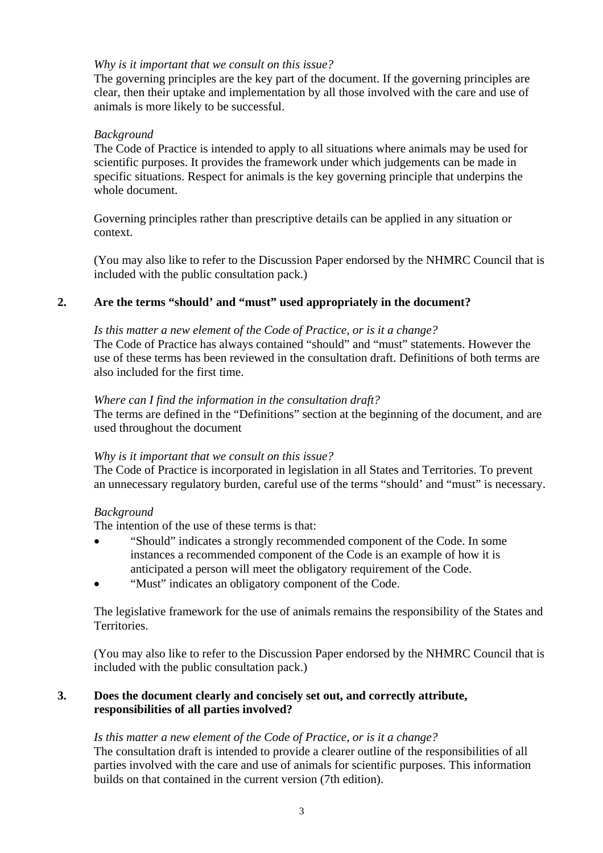### *Why is it important that we consult on this issue?*

The governing principles are the key part of the document. If the governing principles are clear, then their uptake and implementation by all those involved with the care and use of animals is more likely to be successful.

#### *Background*

The Code of Practice is intended to apply to all situations where animals may be used for scientific purposes. It provides the framework under which judgements can be made in specific situations. Respect for animals is the key governing principle that underpins the whole document.

Governing principles rather than prescriptive details can be applied in any situation or context.

(You may also like to refer to the Discussion Paper endorsed by the NHMRC Council that is included with the public consultation pack.)

# **2. Are the terms "should' and "must" used appropriately in the document?**

#### *Is this matter a new element of the Code of Practice, or is it a change?*

The Code of Practice has always contained "should" and "must" statements. However the use of these terms has been reviewed in the consultation draft. Definitions of both terms are also included for the first time.

#### *Where can I find the information in the consultation draft?*

The terms are defined in the "Definitions" section at the beginning of the document, and are used throughout the document

#### *Why is it important that we consult on this issue?*

The Code of Practice is incorporated in legislation in all States and Territories. To prevent an unnecessary regulatory burden, careful use of the terms "should' and "must" is necessary.

# *Background*

The intention of the use of these terms is that:

- "Should" indicates a strongly recommended component of the Code. In some instances a recommended component of the Code is an example of how it is anticipated a person will meet the obligatory requirement of the Code.
- "Must" indicates an obligatory component of the Code.

The legislative framework for the use of animals remains the responsibility of the States and Territories.

(You may also like to refer to the Discussion Paper endorsed by the NHMRC Council that is included with the public consultation pack.)

### **3. Does the document clearly and concisely set out, and correctly attribute, responsibilities of all parties involved?**

#### *Is this matter a new element of the Code of Practice, or is it a change?*

The consultation draft is intended to provide a clearer outline of the responsibilities of all parties involved with the care and use of animals for scientific purposes. This information builds on that contained in the current version (7th edition).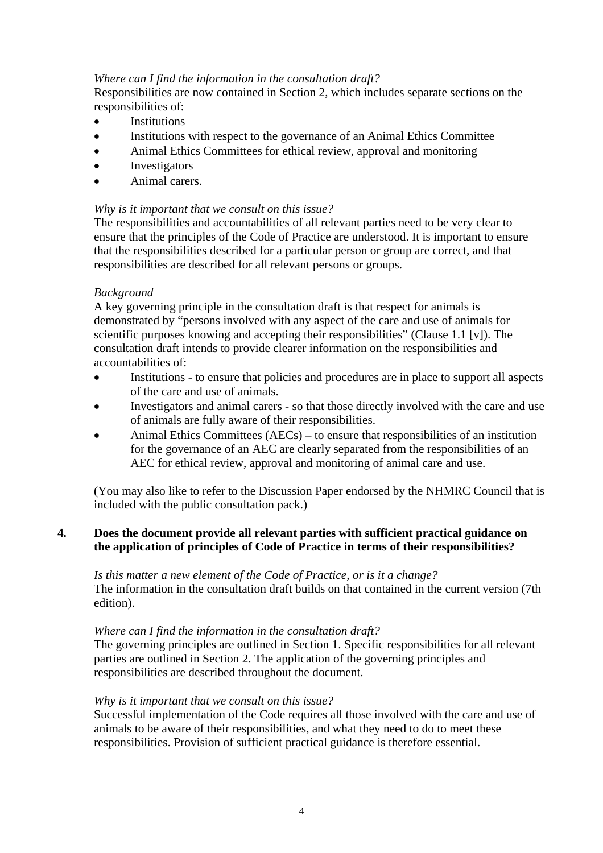#### *Where can I find the information in the consultation draft?*

Responsibilities are now contained in Section 2, which includes separate sections on the responsibilities of:

- Institutions
- Institutions with respect to the governance of an Animal Ethics Committee
- Animal Ethics Committees for ethical review, approval and monitoring
- Investigators
- Animal carers.

### *Why is it important that we consult on this issue?*

The responsibilities and accountabilities of all relevant parties need to be very clear to ensure that the principles of the Code of Practice are understood. It is important to ensure that the responsibilities described for a particular person or group are correct, and that responsibilities are described for all relevant persons or groups.

### *Background*

A key governing principle in the consultation draft is that respect for animals is demonstrated by "persons involved with any aspect of the care and use of animals for scientific purposes knowing and accepting their responsibilities" (Clause 1.1 [v]). The consultation draft intends to provide clearer information on the responsibilities and accountabilities of:

- Institutions to ensure that policies and procedures are in place to support all aspects of the care and use of animals.
- Investigators and animal carers so that those directly involved with the care and use of animals are fully aware of their responsibilities.
- Animal Ethics Committees (AECs) to ensure that responsibilities of an institution for the governance of an AEC are clearly separated from the responsibilities of an AEC for ethical review, approval and monitoring of animal care and use.

(You may also like to refer to the Discussion Paper endorsed by the NHMRC Council that is included with the public consultation pack.)

# **4. Does the document provide all relevant parties with sufficient practical guidance on the application of principles of Code of Practice in terms of their responsibilities?**

*Is this matter a new element of the Code of Practice, or is it a change?* The information in the consultation draft builds on that contained in the current version (7th edition).

#### *Where can I find the information in the consultation draft?*

The governing principles are outlined in Section 1. Specific responsibilities for all relevant parties are outlined in Section 2. The application of the governing principles and responsibilities are described throughout the document.

#### *Why is it important that we consult on this issue?*

Successful implementation of the Code requires all those involved with the care and use of animals to be aware of their responsibilities, and what they need to do to meet these responsibilities. Provision of sufficient practical guidance is therefore essential.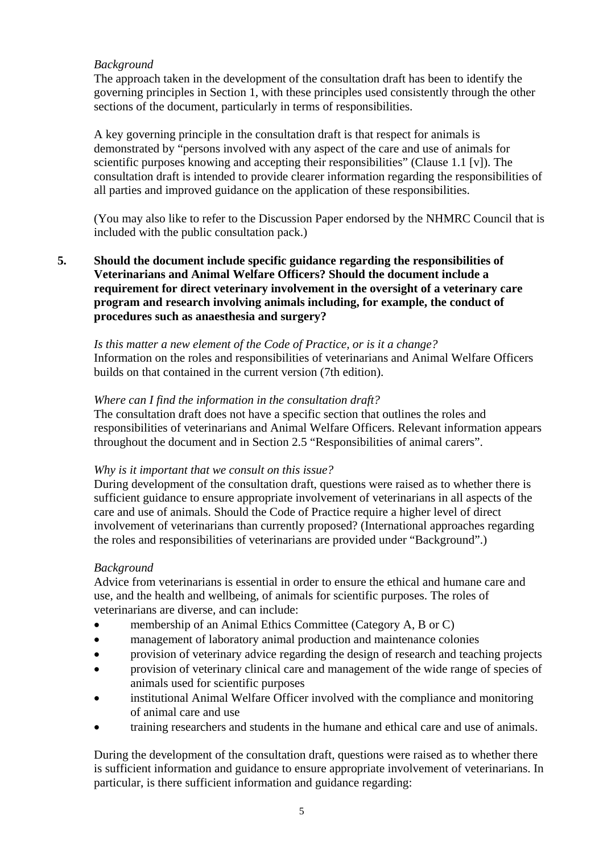# *Background*

The approach taken in the development of the consultation draft has been to identify the governing principles in Section 1, with these principles used consistently through the other sections of the document, particularly in terms of responsibilities.

A key governing principle in the consultation draft is that respect for animals is demonstrated by "persons involved with any aspect of the care and use of animals for scientific purposes knowing and accepting their responsibilities" (Clause 1.1 [v]). The consultation draft is intended to provide clearer information regarding the responsibilities of all parties and improved guidance on the application of these responsibilities.

(You may also like to refer to the Discussion Paper endorsed by the NHMRC Council that is included with the public consultation pack.)

**5. Should the document include specific guidance regarding the responsibilities of Veterinarians and Animal Welfare Officers? Should the document include a requirement for direct veterinary involvement in the oversight of a veterinary care program and research involving animals including, for example, the conduct of procedures such as anaesthesia and surgery?** 

*Is this matter a new element of the Code of Practice, or is it a change?* Information on the roles and responsibilities of veterinarians and Animal Welfare Officers builds on that contained in the current version (7th edition).

#### *Where can I find the information in the consultation draft?*

The consultation draft does not have a specific section that outlines the roles and responsibilities of veterinarians and Animal Welfare Officers. Relevant information appears throughout the document and in Section 2.5 "Responsibilities of animal carers".

#### *Why is it important that we consult on this issue?*

During development of the consultation draft, questions were raised as to whether there is sufficient guidance to ensure appropriate involvement of veterinarians in all aspects of the care and use of animals. Should the Code of Practice require a higher level of direct involvement of veterinarians than currently proposed? (International approaches regarding the roles and responsibilities of veterinarians are provided under "Background".)

#### *Background*

Advice from veterinarians is essential in order to ensure the ethical and humane care and use, and the health and wellbeing, of animals for scientific purposes. The roles of veterinarians are diverse, and can include:

- membership of an Animal Ethics Committee (Category A, B or C)
- management of laboratory animal production and maintenance colonies
- provision of veterinary advice regarding the design of research and teaching projects
- provision of veterinary clinical care and management of the wide range of species of animals used for scientific purposes
- institutional Animal Welfare Officer involved with the compliance and monitoring of animal care and use
- training researchers and students in the humane and ethical care and use of animals.

During the development of the consultation draft, questions were raised as to whether there is sufficient information and guidance to ensure appropriate involvement of veterinarians. In particular, is there sufficient information and guidance regarding: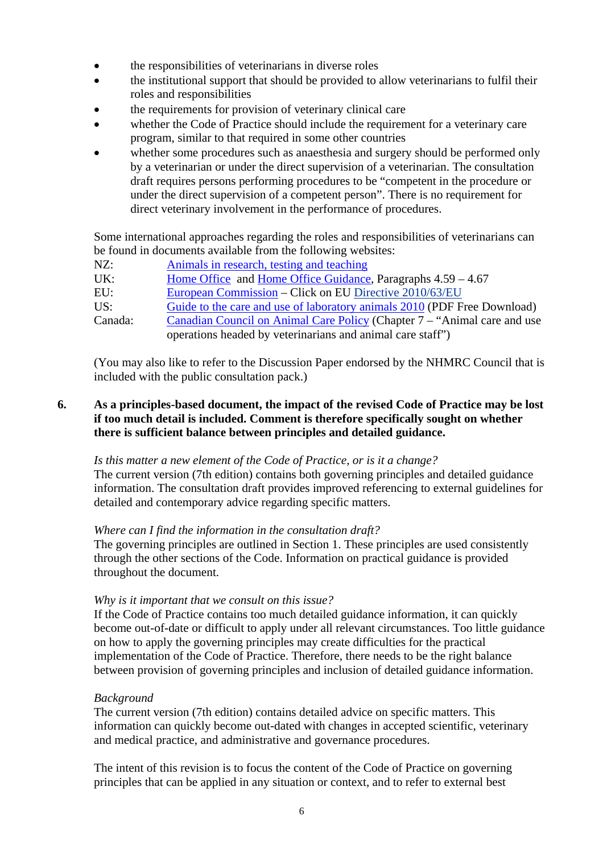- the responsibilities of veterinarians in diverse roles
- the institutional support that should be provided to allow veterinarians to fulfil their roles and responsibilities
- the requirements for provision of veterinary clinical care
- whether the Code of Practice should include the requirement for a veterinary care program, similar to that required in some other countries
- whether some procedures such as anaesthesia and surgery should be performed only by a veterinarian or under the direct supervision of a veterinarian. The consultation draft requires persons performing procedures to be "competent in the procedure or under the direct supervision of a competent person". There is no requirement for direct veterinary involvement in the performance of procedures.

Some international approaches regarding the roles and responsibilities of veterinarians can be found in documents available from the following websites:

| NZ: |  | Animals in research, testing and teaching |  |  |
|-----|--|-------------------------------------------|--|--|
|     |  |                                           |  |  |

UK: Home Office and Home Office Guidance, Paragraphs 4.59 – 4.67

EU: European Commission – Click on EU Directive 2010/63/EU

US: Guide to the care and use of laboratory animals 2010 (PDF Free Download)

Canada: Canadian Council on Animal Care Policy (Chapter 7 – "Animal care and use operations headed by veterinarians and animal care staff")

(You may also like to refer to the Discussion Paper endorsed by the NHMRC Council that is included with the public consultation pack.)

# **6. As a principles-based document, the impact of the revised Code of Practice may be lost if too much detail is included. Comment is therefore specifically sought on whether there is sufficient balance between principles and detailed guidance.**

#### *Is this matter a new element of the Code of Practice, or is it a change?*

The current version (7th edition) contains both governing principles and detailed guidance information. The consultation draft provides improved referencing to external guidelines for detailed and contemporary advice regarding specific matters.

#### *Where can I find the information in the consultation draft?*

The governing principles are outlined in Section 1. These principles are used consistently through the other sections of the Code. Information on practical guidance is provided throughout the document.

#### *Why is it important that we consult on this issue?*

If the Code of Practice contains too much detailed guidance information, it can quickly become out-of-date or difficult to apply under all relevant circumstances. Too little guidance on how to apply the governing principles may create difficulties for the practical implementation of the Code of Practice. Therefore, there needs to be the right balance between provision of governing principles and inclusion of detailed guidance information.

# *Background*

The current version (7th edition) contains detailed advice on specific matters. This information can quickly become out-dated with changes in accepted scientific, veterinary and medical practice, and administrative and governance procedures.

The intent of this revision is to focus the content of the Code of Practice on governing principles that can be applied in any situation or context, and to refer to external best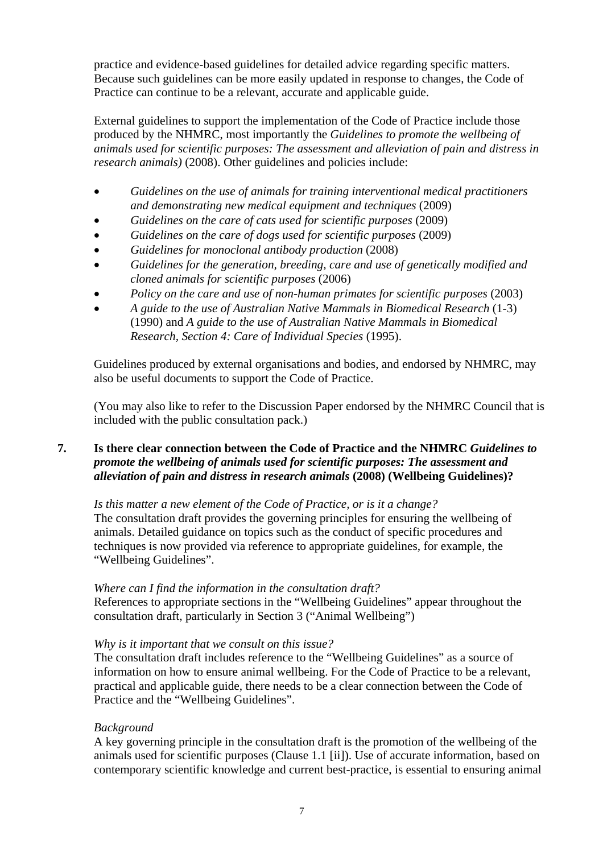practice and evidence-based guidelines for detailed advice regarding specific matters. Because such guidelines can be more easily updated in response to changes, the Code of Practice can continue to be a relevant, accurate and applicable guide.

External guidelines to support the implementation of the Code of Practice include those produced by the NHMRC, most importantly the *Guidelines to promote the wellbeing of animals used for scientific purposes: The assessment and alleviation of pain and distress in research animals*) (2008). Other guidelines and policies include:

- *Guidelines on the use of animals for training interventional medical practitioners and demonstrating new medical equipment and techniques* (2009)
- *Guidelines on the care of cats used for scientific purposes* (2009)
- *Guidelines on the care of dogs used for scientific purposes* (2009)
- *Guidelines for monoclonal antibody production* (2008)
- *Guidelines for the generation, breeding, care and use of genetically modified and cloned animals for scientific purposes* (2006)
- *Policy on the care and use of non-human primates for scientific purposes* (2003)
- *A guide to the use of Australian Native Mammals in Biomedical Research* (1-3) (1990) and *A guide to the use of Australian Native Mammals in Biomedical Research, Section 4: Care of Individual Species* (1995).

Guidelines produced by external organisations and bodies, and endorsed by NHMRC, may also be useful documents to support the Code of Practice.

(You may also like to refer to the Discussion Paper endorsed by the NHMRC Council that is included with the public consultation pack.)

# **7. Is there clear connection between the Code of Practice and the NHMRC** *Guidelines to promote the wellbeing of animals used for scientific purposes: The assessment and alleviation of pain and distress in research animals* **(2008) (Wellbeing Guidelines)?**

#### *Is this matter a new element of the Code of Practice, or is it a change?*

The consultation draft provides the governing principles for ensuring the wellbeing of animals. Detailed guidance on topics such as the conduct of specific procedures and techniques is now provided via reference to appropriate guidelines, for example, the "Wellbeing Guidelines".

#### *Where can I find the information in the consultation draft?*

References to appropriate sections in the "Wellbeing Guidelines" appear throughout the consultation draft, particularly in Section 3 ("Animal Wellbeing")

#### *Why is it important that we consult on this issue?*

The consultation draft includes reference to the "Wellbeing Guidelines" as a source of information on how to ensure animal wellbeing. For the Code of Practice to be a relevant, practical and applicable guide, there needs to be a clear connection between the Code of Practice and the "Wellbeing Guidelines".

#### *Background*

A key governing principle in the consultation draft is the promotion of the wellbeing of the animals used for scientific purposes (Clause 1.1 [ii]). Use of accurate information, based on contemporary scientific knowledge and current best-practice, is essential to ensuring animal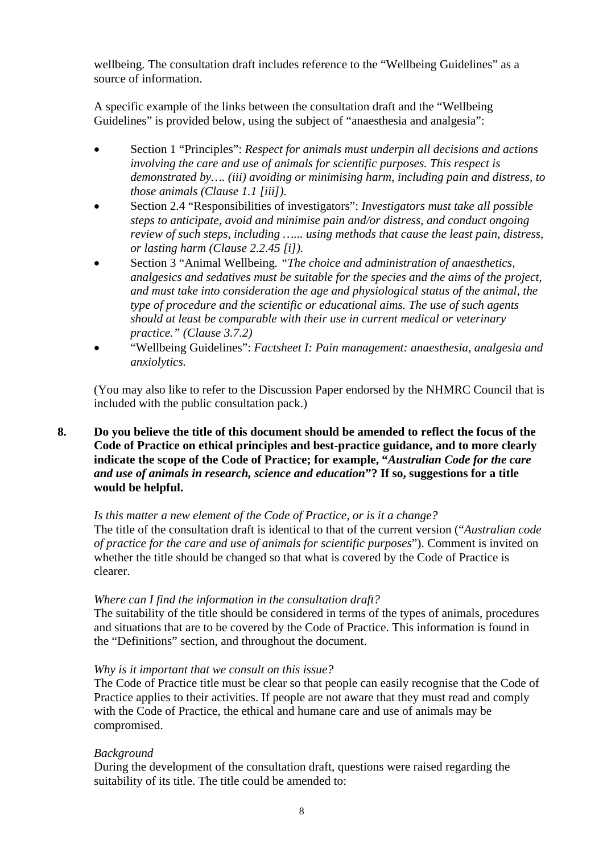wellbeing. The consultation draft includes reference to the "Wellbeing Guidelines" as a source of information.

A specific example of the links between the consultation draft and the "Wellbeing Guidelines" is provided below, using the subject of "anaesthesia and analgesia":

- Section 1 "Principles": *Respect for animals must underpin all decisions and actions involving the care and use of animals for scientific purposes. This respect is demonstrated by…. (iii) avoiding or minimising harm, including pain and distress, to those animals (Clause 1.1 [iii])*.
- Section 2.4 "Responsibilities of investigators": *Investigators must take all possible steps to anticipate, avoid and minimise pain and/or distress, and conduct ongoing review of such steps, including …... using methods that cause the least pain, distress, or lasting harm (Clause 2.2.45 [i]).*
- Section 3 "Animal Wellbeing*. "The choice and administration of anaesthetics, analgesics and sedatives must be suitable for the species and the aims of the project, and must take into consideration the age and physiological status of the animal, the type of procedure and the scientific or educational aims. The use of such agents should at least be comparable with their use in current medical or veterinary practice." (Clause 3.7.2)*
- "Wellbeing Guidelines": *Factsheet I: Pain management: anaesthesia, analgesia and anxiolytics.*

(You may also like to refer to the Discussion Paper endorsed by the NHMRC Council that is included with the public consultation pack.)

### **8. Do you believe the title of this document should be amended to reflect the focus of the Code of Practice on ethical principles and best-practice guidance, and to more clearly indicate the scope of the Code of Practice; for example, "***Australian Code for the care and use of animals in research, science and education***"? If so, suggestions for a title would be helpful.**

#### *Is this matter a new element of the Code of Practice, or is it a change?* The title of the consultation draft is identical to that of the current version ("*Australian code of practice for the care and use of animals for scientific purposes*"). Comment is invited on whether the title should be changed so that what is covered by the Code of Practice is clearer.

#### *Where can I find the information in the consultation draft?*

The suitability of the title should be considered in terms of the types of animals, procedures and situations that are to be covered by the Code of Practice. This information is found in the "Definitions" section, and throughout the document.

#### *Why is it important that we consult on this issue?*

The Code of Practice title must be clear so that people can easily recognise that the Code of Practice applies to their activities. If people are not aware that they must read and comply with the Code of Practice, the ethical and humane care and use of animals may be compromised.

#### *Background*

During the development of the consultation draft, questions were raised regarding the suitability of its title. The title could be amended to: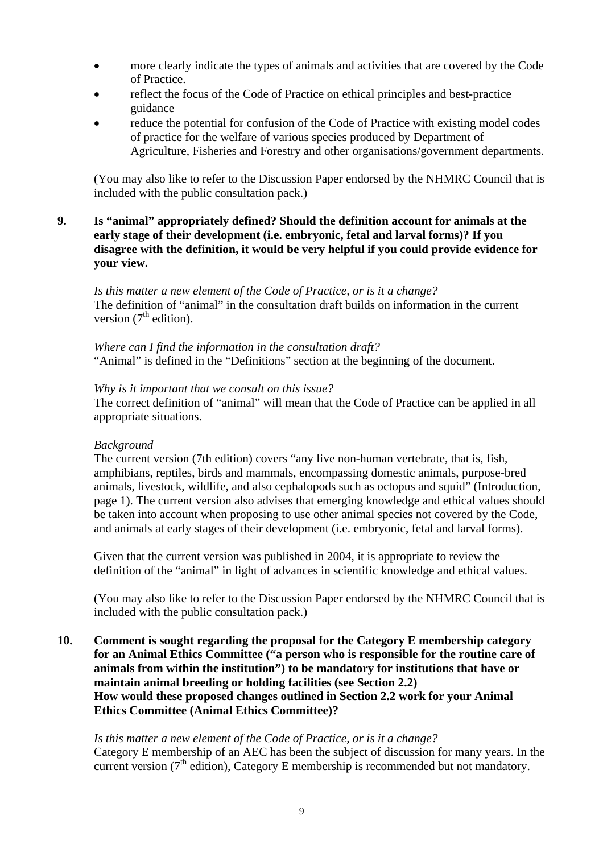- more clearly indicate the types of animals and activities that are covered by the Code of Practice.
- reflect the focus of the Code of Practice on ethical principles and best-practice guidance
- reduce the potential for confusion of the Code of Practice with existing model codes of practice for the welfare of various species produced by Department of Agriculture, Fisheries and Forestry and other organisations/government departments.

(You may also like to refer to the Discussion Paper endorsed by the NHMRC Council that is included with the public consultation pack.)

**9. Is "animal" appropriately defined? Should the definition account for animals at the early stage of their development (i.e. embryonic, fetal and larval forms)? If you disagree with the definition, it would be very helpful if you could provide evidence for your view.** 

*Is this matter a new element of the Code of Practice, or is it a change?* The definition of "animal" in the consultation draft builds on information in the current version  $(7<sup>th</sup>$  edition).

*Where can I find the information in the consultation draft?* "Animal" is defined in the "Definitions" section at the beginning of the document.

#### *Why is it important that we consult on this issue?*

The correct definition of "animal" will mean that the Code of Practice can be applied in all appropriate situations.

#### *Background*

The current version (7th edition) covers "any live non-human vertebrate, that is, fish, amphibians, reptiles, birds and mammals, encompassing domestic animals, purpose-bred animals, livestock, wildlife, and also cephalopods such as octopus and squid" (Introduction, page 1). The current version also advises that emerging knowledge and ethical values should be taken into account when proposing to use other animal species not covered by the Code, and animals at early stages of their development (i.e. embryonic, fetal and larval forms).

Given that the current version was published in 2004, it is appropriate to review the definition of the "animal" in light of advances in scientific knowledge and ethical values.

(You may also like to refer to the Discussion Paper endorsed by the NHMRC Council that is included with the public consultation pack.)

**10. Comment is sought regarding the proposal for the Category E membership category for an Animal Ethics Committee ("a person who is responsible for the routine care of animals from within the institution") to be mandatory for institutions that have or maintain animal breeding or holding facilities (see Section 2.2) How would these proposed changes outlined in Section 2.2 work for your Animal Ethics Committee (Animal Ethics Committee)?** 

#### *Is this matter a new element of the Code of Practice, or is it a change?*

Category E membership of an AEC has been the subject of discussion for many years. In the current version ( $7<sup>th</sup>$  edition), Category E membership is recommended but not mandatory.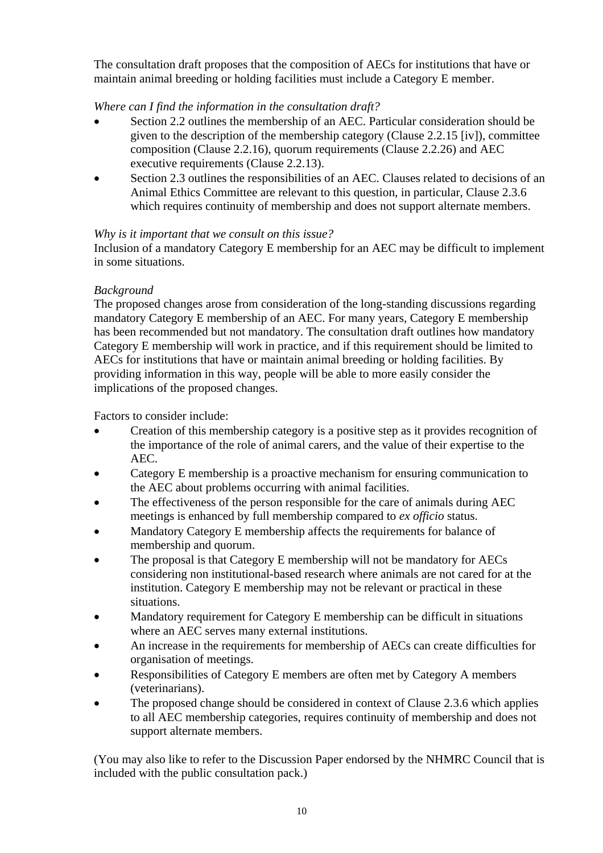The consultation draft proposes that the composition of AECs for institutions that have or maintain animal breeding or holding facilities must include a Category E member.

# *Where can I find the information in the consultation draft?*

- Section 2.2 outlines the membership of an AEC. Particular consideration should be given to the description of the membership category (Clause 2.2.15 [iv]), committee composition (Clause 2.2.16), quorum requirements (Clause 2.2.26) and AEC executive requirements (Clause 2.2.13).
- Section 2.3 outlines the responsibilities of an AEC. Clauses related to decisions of an Animal Ethics Committee are relevant to this question, in particular, Clause 2.3.6 which requires continuity of membership and does not support alternate members.

# *Why is it important that we consult on this issue?*

Inclusion of a mandatory Category E membership for an AEC may be difficult to implement in some situations.

# *Background*

The proposed changes arose from consideration of the long-standing discussions regarding mandatory Category E membership of an AEC. For many years, Category E membership has been recommended but not mandatory. The consultation draft outlines how mandatory Category E membership will work in practice, and if this requirement should be limited to AECs for institutions that have or maintain animal breeding or holding facilities. By providing information in this way, people will be able to more easily consider the implications of the proposed changes.

Factors to consider include:

- Creation of this membership category is a positive step as it provides recognition of the importance of the role of animal carers, and the value of their expertise to the AEC.
- Category E membership is a proactive mechanism for ensuring communication to the AEC about problems occurring with animal facilities.
- The effectiveness of the person responsible for the care of animals during AEC meetings is enhanced by full membership compared to *ex officio* status.
- Mandatory Category E membership affects the requirements for balance of membership and quorum.
- The proposal is that Category E membership will not be mandatory for AECs considering non institutional-based research where animals are not cared for at the institution. Category E membership may not be relevant or practical in these situations.
- Mandatory requirement for Category E membership can be difficult in situations where an AEC serves many external institutions.
- An increase in the requirements for membership of AECs can create difficulties for organisation of meetings.
- Responsibilities of Category E members are often met by Category A members (veterinarians).
- The proposed change should be considered in context of Clause 2.3.6 which applies to all AEC membership categories, requires continuity of membership and does not support alternate members.

(You may also like to refer to the Discussion Paper endorsed by the NHMRC Council that is included with the public consultation pack.)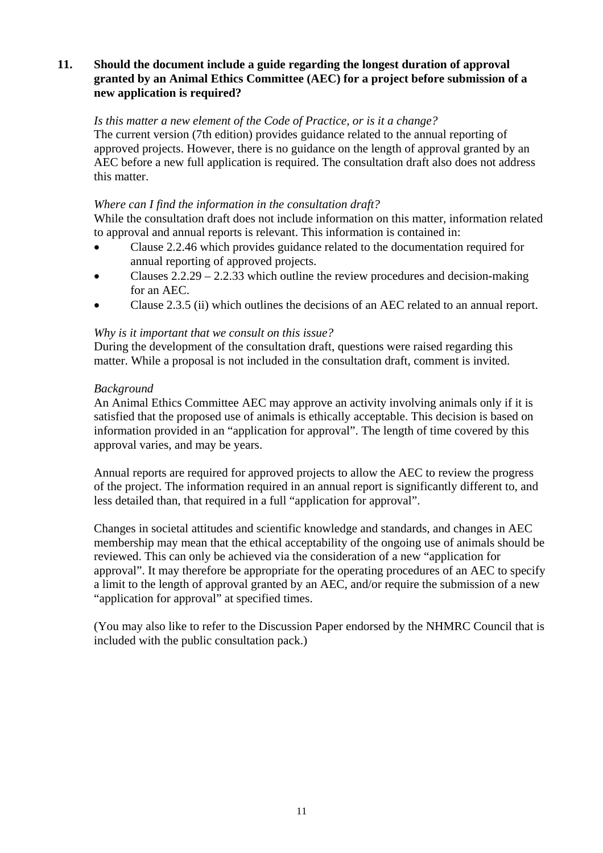#### **11. Should the document include a guide regarding the longest duration of approval granted by an Animal Ethics Committee (AEC) for a project before submission of a new application is required?**

#### *Is this matter a new element of the Code of Practice, or is it a change?*

The current version (7th edition) provides guidance related to the annual reporting of approved projects. However, there is no guidance on the length of approval granted by an AEC before a new full application is required. The consultation draft also does not address this matter.

#### *Where can I find the information in the consultation draft?*

While the consultation draft does not include information on this matter, information related to approval and annual reports is relevant. This information is contained in:

- Clause 2.2.46 which provides guidance related to the documentation required for annual reporting of approved projects.
- Clauses 2.2.29 2.2.33 which outline the review procedures and decision-making for an AEC.
- Clause 2.3.5 (ii) which outlines the decisions of an AEC related to an annual report.

### *Why is it important that we consult on this issue?*

During the development of the consultation draft, questions were raised regarding this matter. While a proposal is not included in the consultation draft, comment is invited.

### *Background*

An Animal Ethics Committee AEC may approve an activity involving animals only if it is satisfied that the proposed use of animals is ethically acceptable. This decision is based on information provided in an "application for approval". The length of time covered by this approval varies, and may be years.

Annual reports are required for approved projects to allow the AEC to review the progress of the project. The information required in an annual report is significantly different to, and less detailed than, that required in a full "application for approval".

Changes in societal attitudes and scientific knowledge and standards, and changes in AEC membership may mean that the ethical acceptability of the ongoing use of animals should be reviewed. This can only be achieved via the consideration of a new "application for approval". It may therefore be appropriate for the operating procedures of an AEC to specify a limit to the length of approval granted by an AEC, and/or require the submission of a new "application for approval" at specified times.

(You may also like to refer to the Discussion Paper endorsed by the NHMRC Council that is included with the public consultation pack.)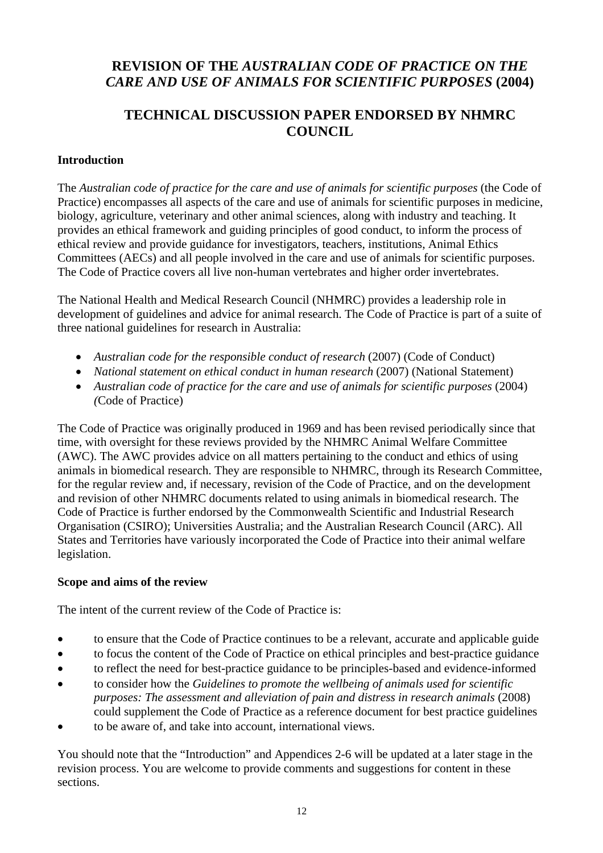# **REVISION OF THE** *AUSTRALIAN CODE OF PRACTICE ON THE CARE AND USE OF ANIMALS FOR SCIENTIFIC PURPOSES* **(2004)**

# **TECHNICAL DISCUSSION PAPER ENDORSED BY NHMRC COUNCIL**

# **Introduction**

The *Australian code of practice for the care and use of animals for scientific purposes* (the Code of Practice) encompasses all aspects of the care and use of animals for scientific purposes in medicine, biology, agriculture, veterinary and other animal sciences, along with industry and teaching. It provides an ethical framework and guiding principles of good conduct, to inform the process of ethical review and provide guidance for investigators, teachers, institutions, Animal Ethics Committees (AECs) and all people involved in the care and use of animals for scientific purposes. The Code of Practice covers all live non-human vertebrates and higher order invertebrates.

The National Health and Medical Research Council (NHMRC) provides a leadership role in development of guidelines and advice for animal research. The Code of Practice is part of a suite of three national guidelines for research in Australia:

- Australian code for the responsible conduct of research (2007) (Code of Conduct)
- *National statement on ethical conduct in human research* (2007) (National Statement)
- *Australian code of practice for the care and use of animals for scientific purposes* (2004) *(*Code of Practice)

The Code of Practice was originally produced in 1969 and has been revised periodically since that time, with oversight for these reviews provided by the NHMRC Animal Welfare Committee (AWC). The AWC provides advice on all matters pertaining to the conduct and ethics of using animals in biomedical research. They are responsible to NHMRC, through its Research Committee, for the regular review and, if necessary, revision of the Code of Practice, and on the development and revision of other NHMRC documents related to using animals in biomedical research. The Code of Practice is further endorsed by the Commonwealth Scientific and Industrial Research Organisation (CSIRO); Universities Australia; and the Australian Research Council (ARC). All States and Territories have variously incorporated the Code of Practice into their animal welfare legislation.

# **Scope and aims of the review**

The intent of the current review of the Code of Practice is:

- to ensure that the Code of Practice continues to be a relevant, accurate and applicable guide
- to focus the content of the Code of Practice on ethical principles and best-practice guidance
- to reflect the need for best-practice guidance to be principles-based and evidence-informed
- to consider how the *Guidelines to promote the wellbeing of animals used for scientific purposes: The assessment and alleviation of pain and distress in research animals* (2008) could supplement the Code of Practice as a reference document for best practice guidelines
- to be aware of, and take into account, international views.

You should note that the "Introduction" and Appendices 2-6 will be updated at a later stage in the revision process. You are welcome to provide comments and suggestions for content in these sections.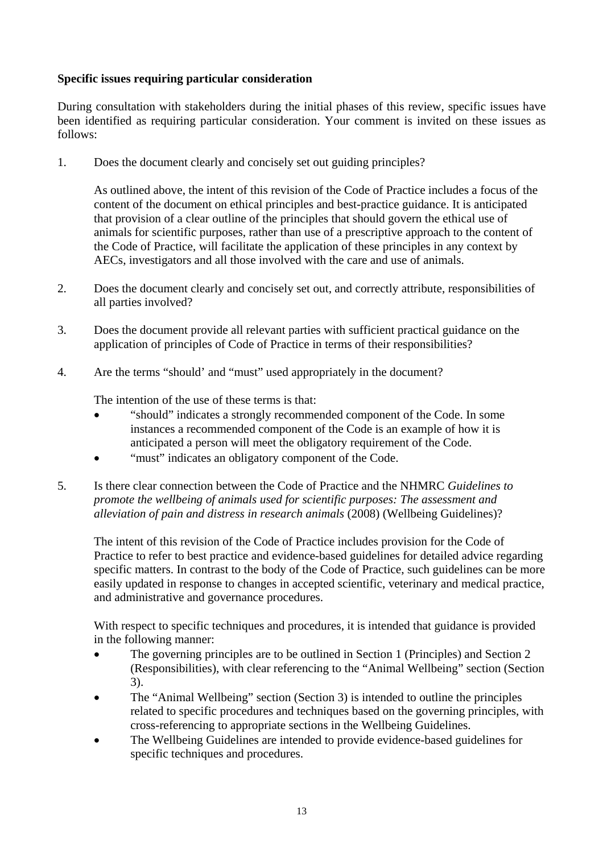# **Specific issues requiring particular consideration**

During consultation with stakeholders during the initial phases of this review, specific issues have been identified as requiring particular consideration. Your comment is invited on these issues as follows:

1. Does the document clearly and concisely set out guiding principles?

As outlined above, the intent of this revision of the Code of Practice includes a focus of the content of the document on ethical principles and best-practice guidance. It is anticipated that provision of a clear outline of the principles that should govern the ethical use of animals for scientific purposes, rather than use of a prescriptive approach to the content of the Code of Practice, will facilitate the application of these principles in any context by AECs, investigators and all those involved with the care and use of animals.

- 2. Does the document clearly and concisely set out, and correctly attribute, responsibilities of all parties involved?
- 3. Does the document provide all relevant parties with sufficient practical guidance on the application of principles of Code of Practice in terms of their responsibilities?
- 4. Are the terms "should' and "must" used appropriately in the document?

The intention of the use of these terms is that:

- "should" indicates a strongly recommended component of the Code. In some instances a recommended component of the Code is an example of how it is anticipated a person will meet the obligatory requirement of the Code.
- "must" indicates an obligatory component of the Code.
- 5. Is there clear connection between the Code of Practice and the NHMRC *Guidelines to promote the wellbeing of animals used for scientific purposes: The assessment and alleviation of pain and distress in research animals* (2008) (Wellbeing Guidelines)?

The intent of this revision of the Code of Practice includes provision for the Code of Practice to refer to best practice and evidence-based guidelines for detailed advice regarding specific matters. In contrast to the body of the Code of Practice, such guidelines can be more easily updated in response to changes in accepted scientific, veterinary and medical practice, and administrative and governance procedures.

With respect to specific techniques and procedures, it is intended that guidance is provided in the following manner:

- The governing principles are to be outlined in Section 1 (Principles) and Section 2 (Responsibilities), with clear referencing to the "Animal Wellbeing" section (Section 3).
- The "Animal Wellbeing" section (Section 3) is intended to outline the principles related to specific procedures and techniques based on the governing principles, with cross-referencing to appropriate sections in the Wellbeing Guidelines.
- The Wellbeing Guidelines are intended to provide evidence-based guidelines for specific techniques and procedures.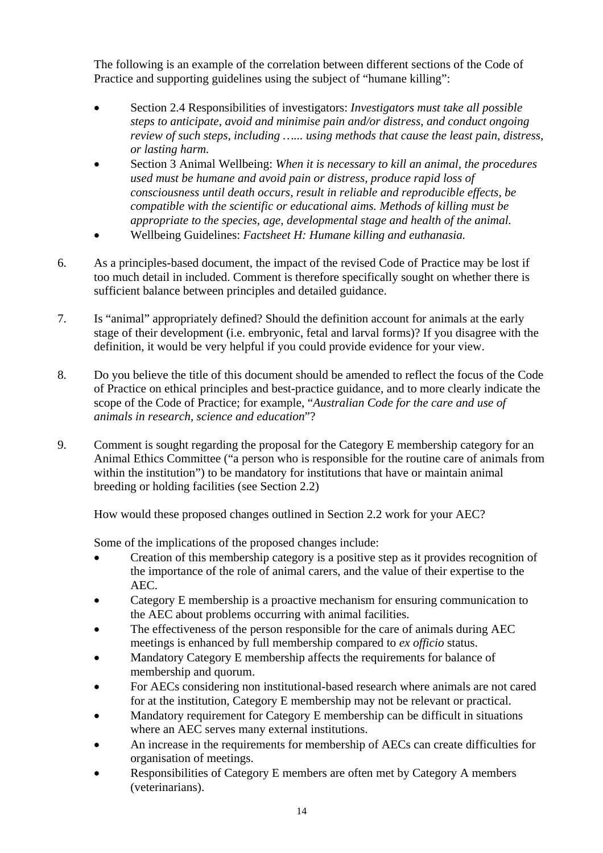The following is an example of the correlation between different sections of the Code of Practice and supporting guidelines using the subject of "humane killing":

- Section 2.4 Responsibilities of investigators: *Investigators must take all possible steps to anticipate, avoid and minimise pain and/or distress, and conduct ongoing review of such steps, including …... using methods that cause the least pain, distress, or lasting harm.*
- Section 3 Animal Wellbeing: *When it is necessary to kill an animal, the procedures used must be humane and avoid pain or distress, produce rapid loss of consciousness until death occurs, result in reliable and reproducible effects, be compatible with the scientific or educational aims. Methods of killing must be appropriate to the species, age, developmental stage and health of the animal.*
- Wellbeing Guidelines: *Factsheet H: Humane killing and euthanasia.*
- 6. As a principles-based document, the impact of the revised Code of Practice may be lost if too much detail in included. Comment is therefore specifically sought on whether there is sufficient balance between principles and detailed guidance.
- 7. Is "animal" appropriately defined? Should the definition account for animals at the early stage of their development (i.e. embryonic, fetal and larval forms)? If you disagree with the definition, it would be very helpful if you could provide evidence for your view.
- 8. Do you believe the title of this document should be amended to reflect the focus of the Code of Practice on ethical principles and best-practice guidance, and to more clearly indicate the scope of the Code of Practice; for example, "*Australian Code for the care and use of animals in research, science and education*"?
- 9. Comment is sought regarding the proposal for the Category E membership category for an Animal Ethics Committee ("a person who is responsible for the routine care of animals from within the institution") to be mandatory for institutions that have or maintain animal breeding or holding facilities (see Section 2.2)

How would these proposed changes outlined in Section 2.2 work for your AEC?

Some of the implications of the proposed changes include:

- Creation of this membership category is a positive step as it provides recognition of the importance of the role of animal carers, and the value of their expertise to the AEC.
- Category E membership is a proactive mechanism for ensuring communication to the AEC about problems occurring with animal facilities.
- The effectiveness of the person responsible for the care of animals during AEC meetings is enhanced by full membership compared to *ex officio* status.
- Mandatory Category E membership affects the requirements for balance of membership and quorum.
- For AECs considering non institutional-based research where animals are not cared for at the institution, Category E membership may not be relevant or practical.
- Mandatory requirement for Category E membership can be difficult in situations where an AEC serves many external institutions.
- An increase in the requirements for membership of AECs can create difficulties for organisation of meetings.
- Responsibilities of Category E members are often met by Category A members (veterinarians).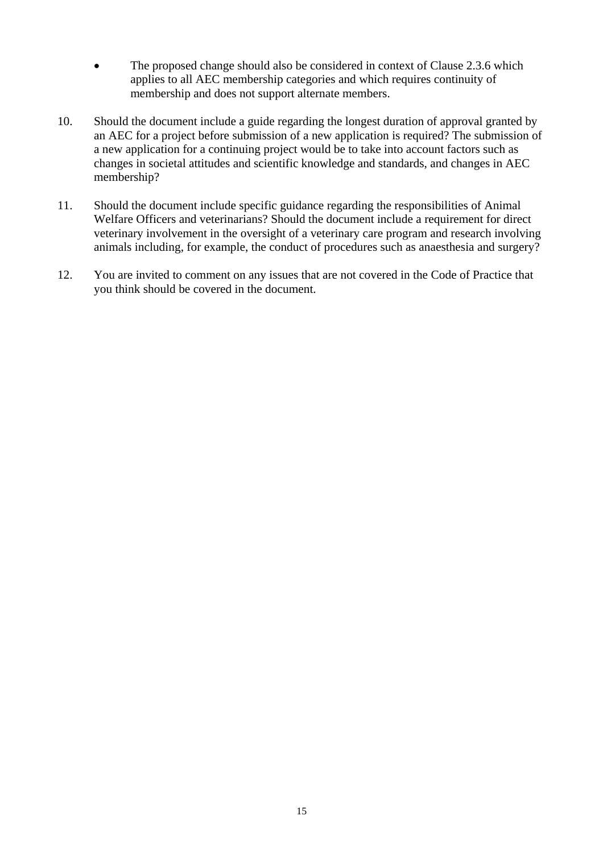- The proposed change should also be considered in context of Clause 2.3.6 which applies to all AEC membership categories and which requires continuity of membership and does not support alternate members.
- 10. Should the document include a guide regarding the longest duration of approval granted by an AEC for a project before submission of a new application is required? The submission of a new application for a continuing project would be to take into account factors such as changes in societal attitudes and scientific knowledge and standards, and changes in AEC membership?
- 11. Should the document include specific guidance regarding the responsibilities of Animal Welfare Officers and veterinarians? Should the document include a requirement for direct veterinary involvement in the oversight of a veterinary care program and research involving animals including, for example, the conduct of procedures such as anaesthesia and surgery?
- 12. You are invited to comment on any issues that are not covered in the Code of Practice that you think should be covered in the document.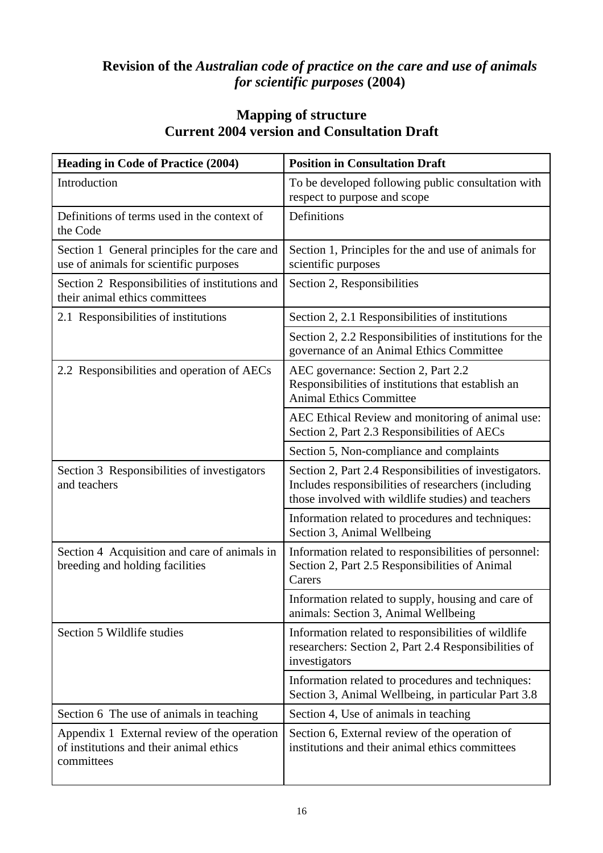# **Revision of the** *Australian code of practice on the care and use of animals for scientific purposes* **(2004)**

# **Mapping of structure Current 2004 version and Consultation Draft**

| <b>Heading in Code of Practice (2004)</b>                                                            | <b>Position in Consultation Draft</b>                                                                                                                               |  |  |  |
|------------------------------------------------------------------------------------------------------|---------------------------------------------------------------------------------------------------------------------------------------------------------------------|--|--|--|
| Introduction                                                                                         | To be developed following public consultation with<br>respect to purpose and scope                                                                                  |  |  |  |
| Definitions of terms used in the context of<br>the Code                                              | Definitions                                                                                                                                                         |  |  |  |
| Section 1 General principles for the care and<br>use of animals for scientific purposes              | Section 1, Principles for the and use of animals for<br>scientific purposes                                                                                         |  |  |  |
| Section 2 Responsibilities of institutions and<br>their animal ethics committees                     | Section 2, Responsibilities                                                                                                                                         |  |  |  |
| 2.1 Responsibilities of institutions                                                                 | Section 2, 2.1 Responsibilities of institutions                                                                                                                     |  |  |  |
|                                                                                                      | Section 2, 2.2 Responsibilities of institutions for the<br>governance of an Animal Ethics Committee                                                                 |  |  |  |
| 2.2 Responsibilities and operation of AECs                                                           | AEC governance: Section 2, Part 2.2<br>Responsibilities of institutions that establish an<br><b>Animal Ethics Committee</b>                                         |  |  |  |
|                                                                                                      | AEC Ethical Review and monitoring of animal use:<br>Section 2, Part 2.3 Responsibilities of AECs                                                                    |  |  |  |
|                                                                                                      | Section 5, Non-compliance and complaints                                                                                                                            |  |  |  |
| Section 3 Responsibilities of investigators<br>and teachers                                          | Section 2, Part 2.4 Responsibilities of investigators.<br>Includes responsibilities of researchers (including<br>those involved with wildlife studies) and teachers |  |  |  |
|                                                                                                      | Information related to procedures and techniques:<br>Section 3, Animal Wellbeing                                                                                    |  |  |  |
| Section 4 Acquisition and care of animals in<br>breeding and holding facilities                      | Information related to responsibilities of personnel:<br>Section 2, Part 2.5 Responsibilities of Animal<br>Carers                                                   |  |  |  |
|                                                                                                      | Information related to supply, housing and care of<br>animals: Section 3, Animal Wellbeing                                                                          |  |  |  |
| Section 5 Wildlife studies                                                                           | Information related to responsibilities of wildlife<br>researchers: Section 2, Part 2.4 Responsibilities of<br>investigators                                        |  |  |  |
|                                                                                                      | Information related to procedures and techniques:<br>Section 3, Animal Wellbeing, in particular Part 3.8                                                            |  |  |  |
| Section 6 The use of animals in teaching                                                             | Section 4, Use of animals in teaching                                                                                                                               |  |  |  |
| Appendix 1 External review of the operation<br>of institutions and their animal ethics<br>committees | Section 6, External review of the operation of<br>institutions and their animal ethics committees                                                                   |  |  |  |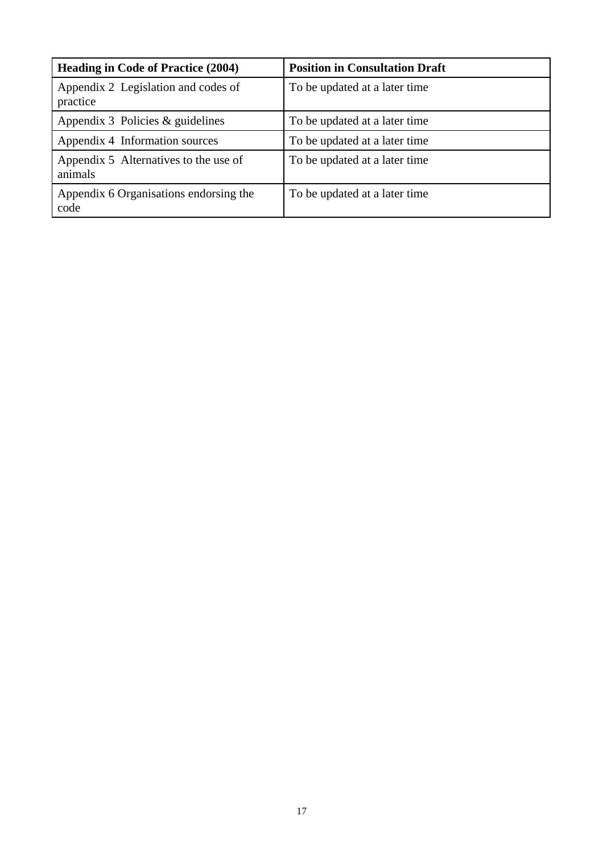| <b>Heading in Code of Practice (2004)</b>        | <b>Position in Consultation Draft</b> |
|--------------------------------------------------|---------------------------------------|
| Appendix 2 Legislation and codes of<br>practice  | To be updated at a later time         |
| Appendix 3 Policies $&$ guidelines               | To be updated at a later time.        |
| Appendix 4 Information sources                   | To be updated at a later time         |
| Appendix 5 Alternatives to the use of<br>animals | To be updated at a later time         |
| Appendix 6 Organisations endorsing the<br>code   | To be updated at a later time.        |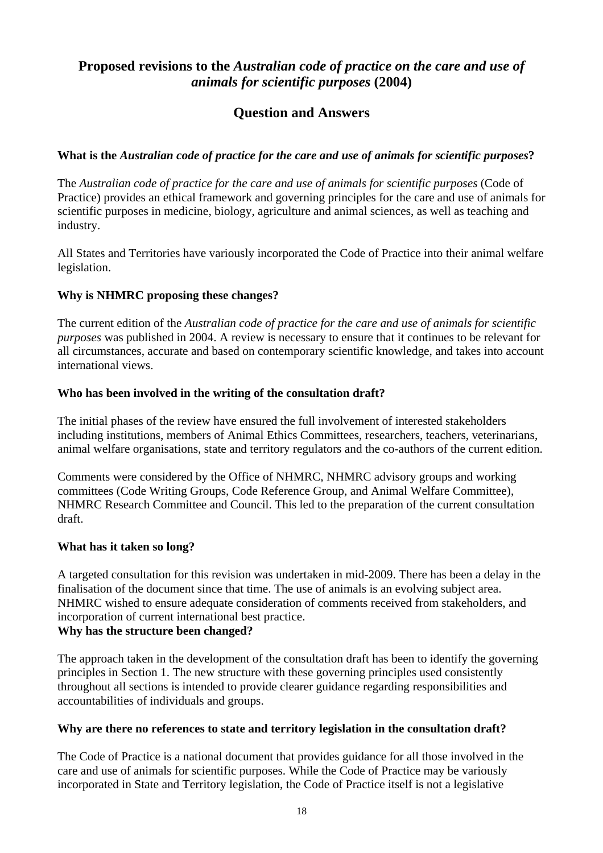# **Proposed revisions to the** *Australian code of practice on the care and use of animals for scientific purposes* **(2004)**

# **Question and Answers**

# **What is the** *Australian code of practice for the care and use of animals for scientific purposes***?**

The *Australian code of practice for the care and use of animals for scientific purposes* (Code of Practice) provides an ethical framework and governing principles for the care and use of animals for scientific purposes in medicine, biology, agriculture and animal sciences, as well as teaching and industry.

All States and Territories have variously incorporated the Code of Practice into their animal welfare legislation.

# **Why is NHMRC proposing these changes?**

The current edition of the *Australian code of practice for the care and use of animals for scientific purposes* was published in 2004. A review is necessary to ensure that it continues to be relevant for all circumstances, accurate and based on contemporary scientific knowledge, and takes into account international views.

# **Who has been involved in the writing of the consultation draft?**

The initial phases of the review have ensured the full involvement of interested stakeholders including institutions, members of Animal Ethics Committees, researchers, teachers, veterinarians, animal welfare organisations, state and territory regulators and the co-authors of the current edition.

Comments were considered by the Office of NHMRC, NHMRC advisory groups and working committees (Code Writing Groups, Code Reference Group, and Animal Welfare Committee), NHMRC Research Committee and Council. This led to the preparation of the current consultation draft.

# **What has it taken so long?**

A targeted consultation for this revision was undertaken in mid-2009. There has been a delay in the finalisation of the document since that time. The use of animals is an evolving subject area. NHMRC wished to ensure adequate consideration of comments received from stakeholders, and incorporation of current international best practice.

# **Why has the structure been changed?**

The approach taken in the development of the consultation draft has been to identify the governing principles in Section 1. The new structure with these governing principles used consistently throughout all sections is intended to provide clearer guidance regarding responsibilities and accountabilities of individuals and groups.

# **Why are there no references to state and territory legislation in the consultation draft?**

The Code of Practice is a national document that provides guidance for all those involved in the care and use of animals for scientific purposes. While the Code of Practice may be variously incorporated in State and Territory legislation, the Code of Practice itself is not a legislative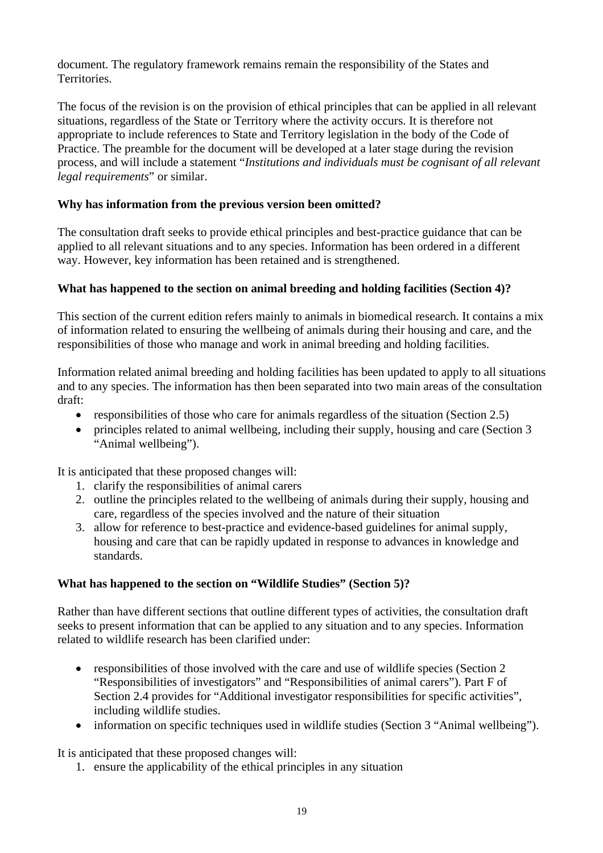document. The regulatory framework remains remain the responsibility of the States and Territories.

The focus of the revision is on the provision of ethical principles that can be applied in all relevant situations, regardless of the State or Territory where the activity occurs. It is therefore not appropriate to include references to State and Territory legislation in the body of the Code of Practice. The preamble for the document will be developed at a later stage during the revision process, and will include a statement "*Institutions and individuals must be cognisant of all relevant legal requirements*" or similar.

# **Why has information from the previous version been omitted?**

The consultation draft seeks to provide ethical principles and best-practice guidance that can be applied to all relevant situations and to any species. Information has been ordered in a different way. However, key information has been retained and is strengthened.

# **What has happened to the section on animal breeding and holding facilities (Section 4)?**

This section of the current edition refers mainly to animals in biomedical research. It contains a mix of information related to ensuring the wellbeing of animals during their housing and care, and the responsibilities of those who manage and work in animal breeding and holding facilities.

Information related animal breeding and holding facilities has been updated to apply to all situations and to any species. The information has then been separated into two main areas of the consultation draft:

- responsibilities of those who care for animals regardless of the situation (Section 2.5)
- principles related to animal wellbeing, including their supply, housing and care (Section 3 "Animal wellbeing").

It is anticipated that these proposed changes will:

- 1. clarify the responsibilities of animal carers
- 2. outline the principles related to the wellbeing of animals during their supply, housing and care, regardless of the species involved and the nature of their situation
- 3. allow for reference to best-practice and evidence-based guidelines for animal supply, housing and care that can be rapidly updated in response to advances in knowledge and standards.

# **What has happened to the section on "Wildlife Studies" (Section 5)?**

Rather than have different sections that outline different types of activities, the consultation draft seeks to present information that can be applied to any situation and to any species. Information related to wildlife research has been clarified under:

- responsibilities of those involved with the care and use of wildlife species (Section 2) "Responsibilities of investigators" and "Responsibilities of animal carers"). Part F of Section 2.4 provides for "Additional investigator responsibilities for specific activities", including wildlife studies.
- information on specific techniques used in wildlife studies (Section 3 "Animal wellbeing").

It is anticipated that these proposed changes will:

1. ensure the applicability of the ethical principles in any situation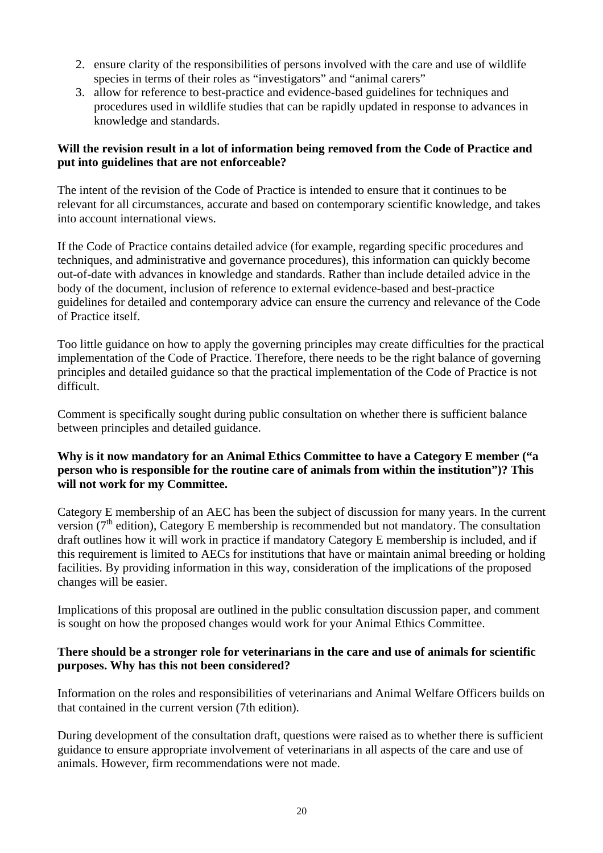- 2. ensure clarity of the responsibilities of persons involved with the care and use of wildlife species in terms of their roles as "investigators" and "animal carers"
- 3. allow for reference to best-practice and evidence-based guidelines for techniques and procedures used in wildlife studies that can be rapidly updated in response to advances in knowledge and standards.

# **Will the revision result in a lot of information being removed from the Code of Practice and put into guidelines that are not enforceable?**

The intent of the revision of the Code of Practice is intended to ensure that it continues to be relevant for all circumstances, accurate and based on contemporary scientific knowledge, and takes into account international views.

If the Code of Practice contains detailed advice (for example, regarding specific procedures and techniques, and administrative and governance procedures), this information can quickly become out-of-date with advances in knowledge and standards. Rather than include detailed advice in the body of the document, inclusion of reference to external evidence-based and best-practice guidelines for detailed and contemporary advice can ensure the currency and relevance of the Code of Practice itself.

Too little guidance on how to apply the governing principles may create difficulties for the practical implementation of the Code of Practice. Therefore, there needs to be the right balance of governing principles and detailed guidance so that the practical implementation of the Code of Practice is not difficult.

Comment is specifically sought during public consultation on whether there is sufficient balance between principles and detailed guidance.

# **Why is it now mandatory for an Animal Ethics Committee to have a Category E member ("a person who is responsible for the routine care of animals from within the institution")? This will not work for my Committee.**

Category E membership of an AEC has been the subject of discussion for many years. In the current version ( $7<sup>th</sup>$  edition), Category E membership is recommended but not mandatory. The consultation draft outlines how it will work in practice if mandatory Category E membership is included, and if this requirement is limited to AECs for institutions that have or maintain animal breeding or holding facilities. By providing information in this way, consideration of the implications of the proposed changes will be easier.

Implications of this proposal are outlined in the public consultation discussion paper, and comment is sought on how the proposed changes would work for your Animal Ethics Committee.

# **There should be a stronger role for veterinarians in the care and use of animals for scientific purposes. Why has this not been considered?**

Information on the roles and responsibilities of veterinarians and Animal Welfare Officers builds on that contained in the current version (7th edition).

During development of the consultation draft, questions were raised as to whether there is sufficient guidance to ensure appropriate involvement of veterinarians in all aspects of the care and use of animals. However, firm recommendations were not made.